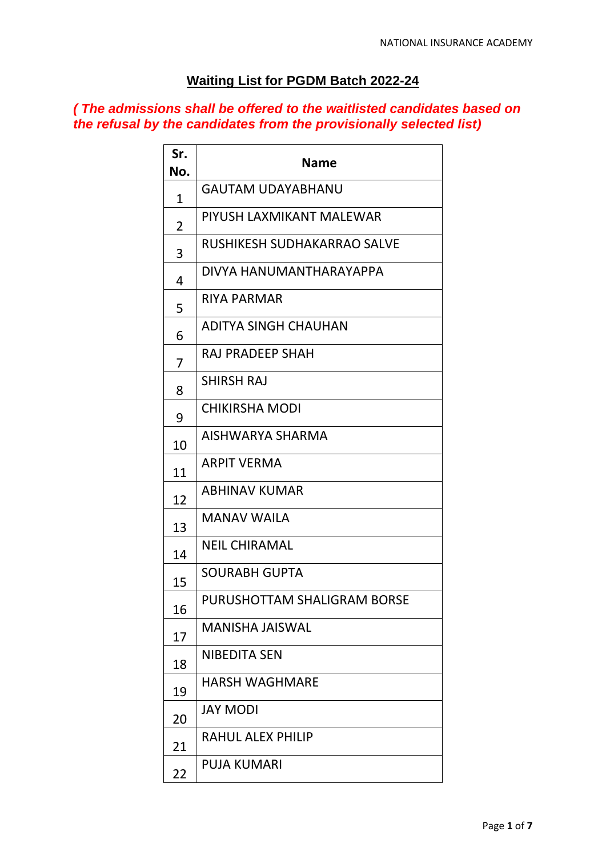## **Waiting List for PGDM Batch 2022-24**

## *( The admissions shall be offered to the waitlisted candidates based on the refusal by the candidates from the provisionally selected list)*

| Sr.<br>No. | Name                        |
|------------|-----------------------------|
| 1          | GAUTAM UDAYABHANU           |
| 2          | PIYUSH LAXMIKANT MALEWAR    |
| 3          | RUSHIKESH SUDHAKARRAO SALVE |
| 4          | DIVYA HANUMANTHARAYAPPA     |
| 5          | RIYA PARMAR                 |
| 6          | ADITYA SINGH CHAUHAN        |
| 7          | RAJ PRADEEP SHAH            |
| 8          | <b>SHIRSH RAJ</b>           |
| 9          | CHIKIRSHA MODI              |
| 10         | AISHWARYA SHARMA            |
| 11         | <b>ARPIT VERMA</b>          |
| 12         | <b>ABHINAV KUMAR</b>        |
| 13         | <b>MANAV WAILA</b>          |
| 14         | <b>NEIL CHIRAMAL</b>        |
| 15         | SOURABH GUPTA               |
| 16         | PURUSHOTTAM SHALIGRAM BORSE |
| 17         | <b>MANISHA JAISWAL</b>      |
| 18         | <b>NIBEDITA SEN</b>         |
| 19         | <b>HARSH WAGHMARE</b>       |
| 20         | <b>JAY MODI</b>             |
| 21         | <b>RAHUL ALEX PHILIP</b>    |
| 22         | <b>PUJA KUMARI</b>          |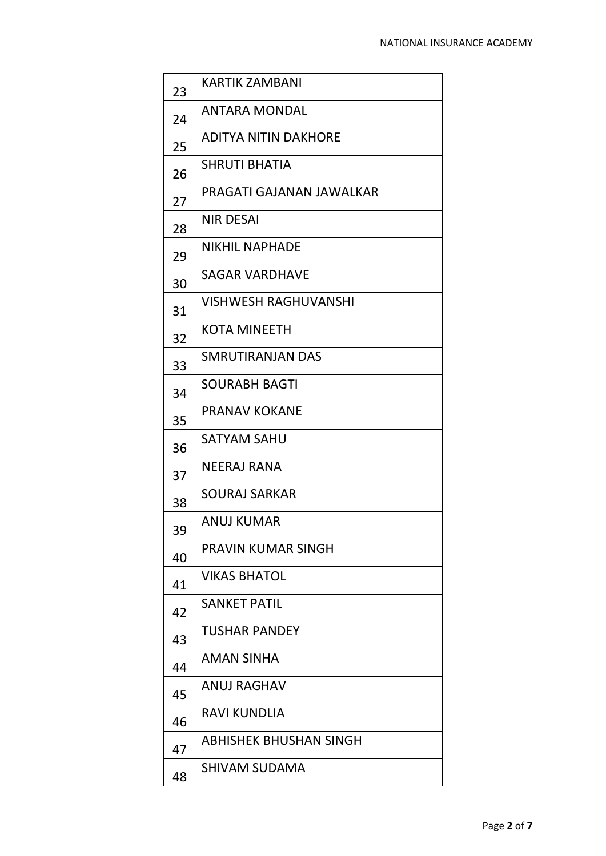| 23 | <b>KARTIK ZAMBANI</b>         |
|----|-------------------------------|
| 24 | <b>ANTARA MONDAL</b>          |
| 25 | <b>ADITYA NITIN DAKHORE</b>   |
| 26 | <b>SHRUTI BHATIA</b>          |
| 27 | PRAGATI GAJANAN JAWALKAR      |
| 28 | <b>NIR DESAI</b>              |
| 29 | <b>NIKHIL NAPHADE</b>         |
| 30 | SAGAR VARDHAVE                |
| 31 | VISHWESH RAGHUVANSHI          |
| 32 | KOTA MINEETH                  |
| 33 | SMRUTIRANJAN DAS              |
| 34 | SOURABH BAGTI                 |
| 35 | <b>PRANAV KOKANE</b>          |
| 36 | <b>SATYAM SAHU</b>            |
| 37 | <b>NEERAJ RANA</b>            |
| 38 | SOURAJ SARKAR                 |
| 39 | ANUJ KUMAR                    |
| 40 | PRAVIN KUMAR SINGH            |
| 41 | <b>VIKAS BHATOL</b>           |
| 42 | <b>SANKET PATIL</b>           |
| 43 | <b>TUSHAR PANDEY</b>          |
| 44 | <b>AMAN SINHA</b>             |
| 45 | ANUJ RAGHAV                   |
| 46 | RAVI KUNDLIA                  |
| 47 | <b>ABHISHEK BHUSHAN SINGH</b> |
| 48 | <b>SHIVAM SUDAMA</b>          |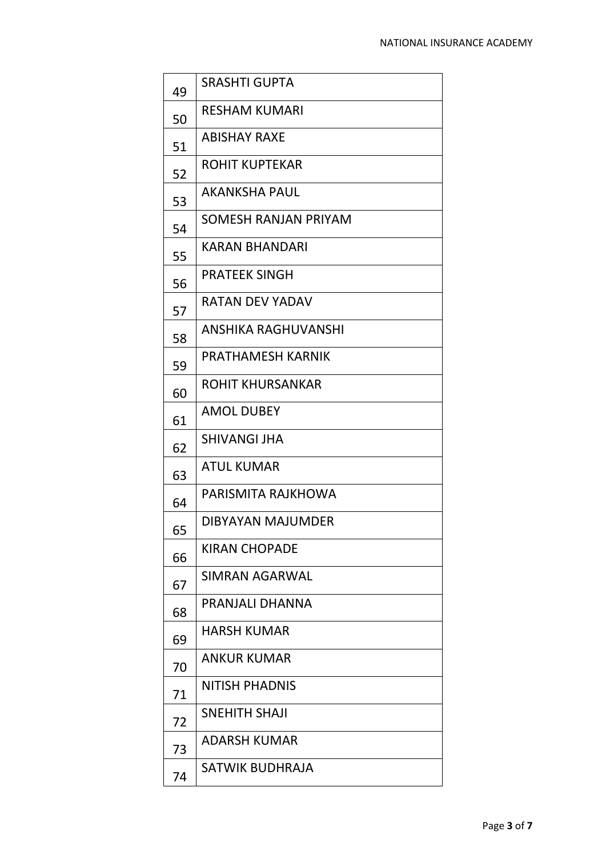| 49 | <b>SRASHTI GUPTA</b>        |
|----|-----------------------------|
| 50 | <b>RESHAM KUMARI</b>        |
| 51 | <b>ABISHAY RAXE</b>         |
| 52 | ROHIT KUPTEKAR              |
| 53 | <b>AKANKSHA PAUL</b>        |
| 54 | <b>SOMESH RANJAN PRIYAM</b> |
| 55 | <b>KARAN BHANDARI</b>       |
| 56 | <b>PRATEEK SINGH</b>        |
| 57 | <b>RATAN DEV YADAV</b>      |
| 58 | <b>ANSHIKA RAGHUVANSHI</b>  |
| 59 | PRATHAMESH KARNIK           |
| 60 | ROHIT KHURSANKAR            |
| 61 | <b>AMOL DUBEY</b>           |
| 62 | <b>SHIVANGI JHA</b>         |
| 63 | <b>ATUL KUMAR</b>           |
| 64 | PARISMITA RAJKHOWA          |
| 65 | DIBYAYAN MAJUMDER           |
| 66 | <b>KIRAN CHOPADE</b>        |
| 67 | SIMRAN AGARWAL              |
| 68 | PRANJALI DHANNA             |
| 69 | <b>HARSH KUMAR</b>          |
| 70 | <b>ANKUR KUMAR</b>          |
| 71 | <b>NITISH PHADNIS</b>       |
| 72 | SNEHITH SHAJI               |
| 73 | <b>ADARSH KUMAR</b>         |
| 74 | SATWIK BUDHRAJA             |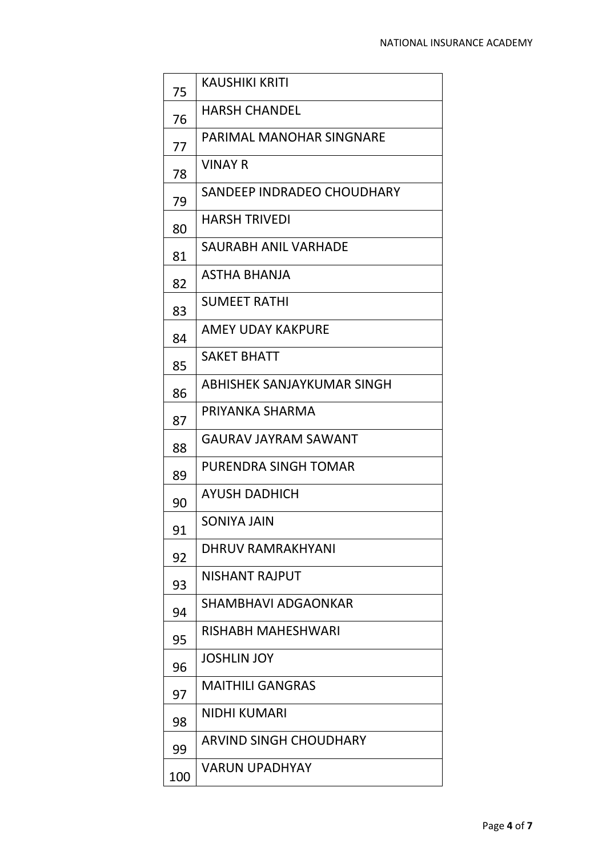| 75  | <b>KAUSHIKI KRITI</b>           |
|-----|---------------------------------|
| 76  | <b>HARSH CHANDEL</b>            |
| 77  | <b>PARIMAL MANOHAR SINGNARE</b> |
| 78  | <b>VINAY R</b>                  |
| 79  | SANDEEP INDRADEO CHOUDHARY      |
| 80  | <b>HARSH TRIVEDI</b>            |
| 81  | <b>SAURABH ANIL VARHADE</b>     |
| 82  | ASTHA BHANJA                    |
| 83  | <b>SUMEET RATHI</b>             |
| 84  | AMEY UDAY KAKPURE               |
| 85  | <b>SAKET BHATT</b>              |
| 86  | ABHISHEK SANJAYKUMAR SINGH      |
| 87  | PRIYANKA SHARMA                 |
| 88  | <b>GAURAV JAYRAM SAWANT</b>     |
| 89  | PURENDRA SINGH TOMAR            |
| 90  | AYUSH DADHICH                   |
| 91  | <b>SONIYA JAIN</b>              |
| 92  | DHRUV RAMRAKHYANI               |
| 93  | NISHANT RAJPUT                  |
| 94  | SHAMBHAVI ADGAONKAR             |
| 95  | RISHABH MAHESHWARI              |
| 96  | <b>JOSHLIN JOY</b>              |
| 97  | <b>MAITHILI GANGRAS</b>         |
| 98  | <b>NIDHI KUMARI</b>             |
| 99  | <b>ARVIND SINGH CHOUDHARY</b>   |
| 100 | <b>VARUN UPADHYAY</b>           |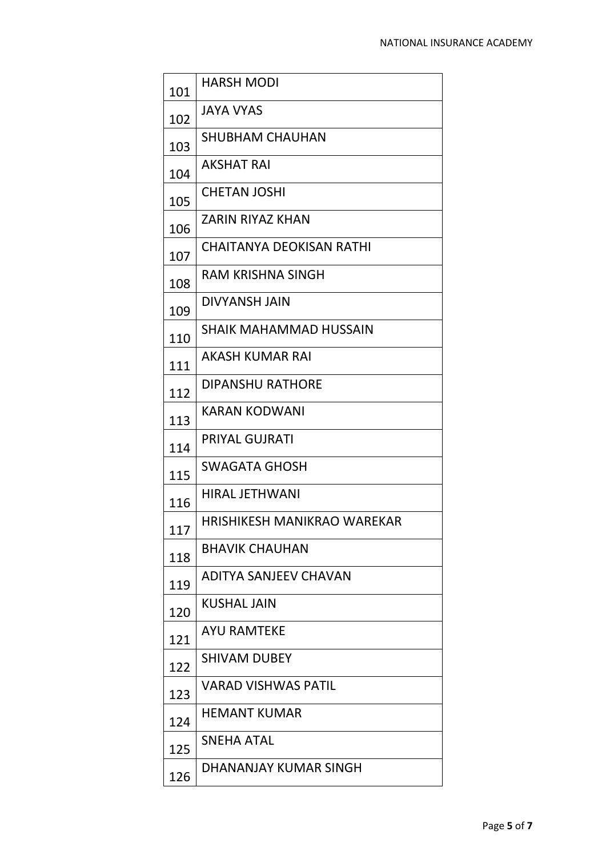| 101 | <b>HARSH MODI</b>               |
|-----|---------------------------------|
| 102 | <b>JAYA VYAS</b>                |
| 103 | <b>SHUBHAM CHAUHAN</b>          |
| 104 | <b>AKSHAT RAI</b>               |
| 105 | <b>CHETAN JOSHI</b>             |
| 106 | <b>ZARIN RIYAZ KHAN</b>         |
| 107 | <b>CHAITANYA DEOKISAN RATHI</b> |
| 108 | RAM KRISHNA SINGH               |
| 109 | <b>DIVYANSH JAIN</b>            |
| 110 | <b>SHAIK MAHAMMAD HUSSAIN</b>   |
| 111 | <b>AKASH KUMAR RAI</b>          |
| 112 | <b>DIPANSHU RATHORE</b>         |
| 113 | <b>KARAN KODWANI</b>            |
| 114 | <b>PRIYAL GUJRATI</b>           |
| 115 | <b>SWAGATA GHOSH</b>            |
| 116 | <b>HIRAL JETHWANI</b>           |
| 117 | HRISHIKESH MANIKRAO WAREKAR     |
| 118 | <b>BHAVIK CHAUHAN</b>           |
| 119 | ADITYA SANJEEV CHAVAN           |
| 120 | <b>KUSHAL JAIN</b>              |
| 121 | <b>AYU RAMTEKE</b>              |
| 122 | <b>SHIVAM DUBEY</b>             |
| 123 | <b>VARAD VISHWAS PATIL</b>      |
| 124 | <b>HEMANT KUMAR</b>             |
| 125 | <b>SNEHA ATAL</b>               |
| 126 | DHANANJAY KUMAR SINGH           |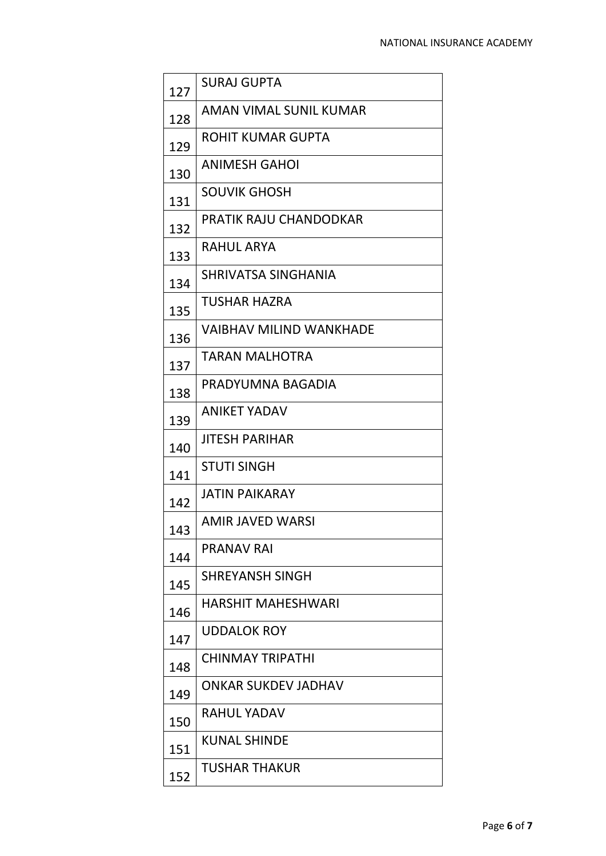| 127 | <b>SURAJ GUPTA</b>             |
|-----|--------------------------------|
| 128 | AMAN VIMAL SUNIL KUMAR         |
| 129 | ROHIT KUMAR GUPTA              |
| 130 | <b>ANIMESH GAHOI</b>           |
| 131 | <b>SOUVIK GHOSH</b>            |
| 132 | PRATIK RAJU CHANDODKAR         |
| 133 | <b>RAHUL ARYA</b>              |
| 134 | SHRIVATSA SINGHANIA            |
| 135 | TUSHAR HAZRA                   |
| 136 | <b>VAIBHAV MILIND WANKHADE</b> |
| 137 | TARAN MALHOTRA                 |
| 138 | PRADYUMNA BAGADIA              |
| 139 | <b>ANIKET YADAV</b>            |
| 140 | <b>JITESH PARIHAR</b>          |
| 141 | <b>STUTI SINGH</b>             |
| 142 | <b>JATIN PAIKARAY</b>          |
| 143 | AMIR JAVED WARSI               |
| 144 | <b>PRANAV RAI</b>              |
| 145 | <b>SHREYANSH SINGH</b>         |
| 146 | <b>HARSHIT MAHESHWARI</b>      |
| 147 | <b>UDDALOK ROY</b>             |
| 148 | <b>CHINMAY TRIPATHI</b>        |
| 149 | <b>ONKAR SUKDEV JADHAV</b>     |
| 150 | RAHUL YADAV                    |
| 151 | <b>KUNAL SHINDE</b>            |
| 152 | TUSHAR THAKUR                  |